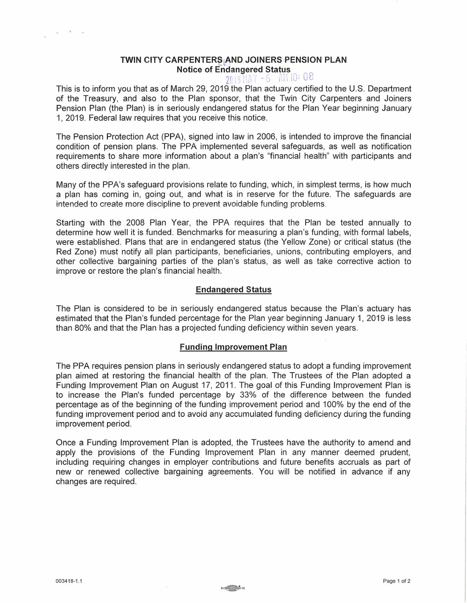# **TWIN CITY CARPENTERS AND JOINERS PENSION PLAN Notice of Endangered Status**

 $2019$  MAY  $-6$  AM IO: 08

This is to inform you that as of March 29, 2019 the Plan actuary certified to the U.S. Department of the Treasury, and also to the Plan sponsor, that the Twin City Carpenters and Joiners Pension Plan (the Plan) is in seriously endangered status for the Plan Year beginning January 1, 2019. Federal law requires that you receive this notice.

The Pension Protection Act (PPA), signed into law in 2006, is intended to improve the financial condition of pension plans. The PPA implemented several safeguards, as well as notification requirements to share more information about a plan's "financial health" with participants and others directly interested in the plan.

Many of the PPA's safeguard provisions relate to funding, which, in simplest terms, is how much a plan has coming in, going out, and what is in reserve for the future. The safeguards are intended to create more discipline to prevent avoidable funding problems.

Starting with the 2008 Plan Year, the PPA requires that the Plan be tested annually to determine how well it is funded. Benchmarks for measuring a plan's funding, with formal labels, were established. Plans that are in endangered status (the Yellow Zone) or critical status (the Red Zone) must notify all plan participants, beneficiaries, unions, contributing employers, and other collective bargaining parties of the plan's status, as well as take corrective action to improve or restore the plan's financial health.

## **Endangered Status**

The Plan is considered to be in seriously endangered status because the Plan's actuary has estimated that the Plan's funded percentage for the Plan year beginning January 1, 2019 is less than 80% and that the Plan has a projected funding deficiency within seven years.

## **Funding Improvement Plan**

The PPA requires pension plans in seriously endangered status to adopt a funding improvement plan aimed at restoring the financial health of the plan. The Trustees of the Plan adopted a Funding Improvement Plan on August 17, 2011. The goal of this Funding Improvement Plan is to increase the Plan's funded percentage by 33% of the difference between the funded percentage as of the beginning of the funding improvement period and 100% by the end of the funding improvement period and to avoid any accumuiated funding deficiency during the funding improvement period.

Once a Funding Improvement Plan is adopted, the Trustees have the authority to amend and apply the provisions of the Funding Improvement Plan in any manner deemed prudent, including requiring changes in employer contributions and future benefits accruals as part of new or renewed collective bargaining agreements. You will be notified in advance if any changes are required.